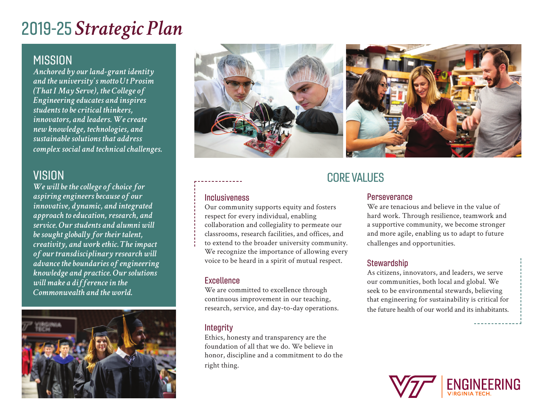## 2019-25 *Strategic Plan*

### **MISSION**

*Anchored by our land-grant identity and the university's motto Ut Prosim (That I May Serve), the College of Engineering educates and inspires students to be critical thinkers, innovators, and leaders. We create new knowledge, technologies, and sustainable solutions that address complex social and technical challenges.*

## **VISION**

*We will be the college of choice for aspiring engineers because of our innovative, dynamic, and integrated approach to education, research, and service. Our students and alumni will be sought globally for their talent, creativity, and work ethic. The impact of our transdisciplinary research will advance the boundaries of engineering knowledge and practice. Our solutions will make a difference in the Commonwealth and the world.*





#### Inclusiveness

Our community supports equity and fosters respect for every individual, enabling collaboration and collegiality to permeate our classrooms, research facilities, and offices, and to extend to the broader university community. We recognize the importance of allowing every voice to be heard in a spirit of mutual respect.

#### **Excellence**

We are committed to excellence through continuous improvement in our teaching, research, service, and day-to-day operations.

#### **Integrity**

Ethics, honesty and transparency are the foundation of all that we do. We believe in honor, discipline and a commitment to do the right thing.

## CORE VALUES

#### **Perseverance**

We are tenacious and believe in the value of hard work. Through resilience, teamwork and a supportive community, we become stronger and more agile, enabling us to adapt to future challenges and opportunities.

#### **Stewardship**

As citizens, innovators, and leaders, we serve our communities, both local and global. We seek to be environmental stewards, believing that engineering for sustainability is critical for the future health of our world and its inhabitants.